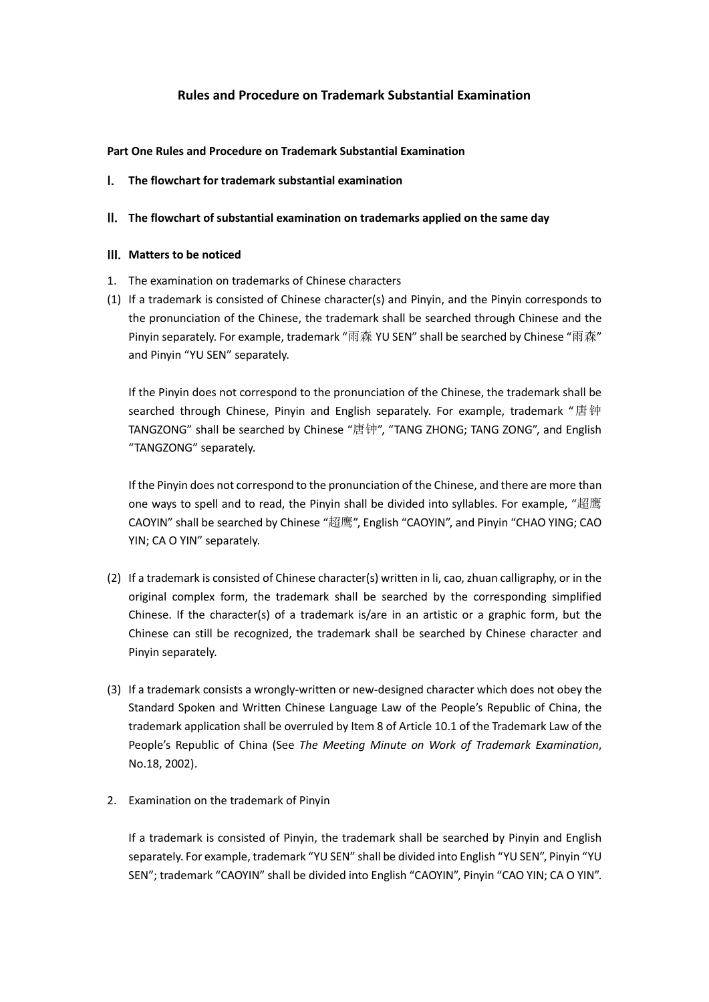## **Rules and Procedure on Trademark Substantial Examination**

#### **Part One Rules and Procedure on Trademark Substantial Examination**

I. **The flowchart for trademark substantial examination**

### II. **The flowchart of substantial examination on trademarks applied on the same day**

### III. **Matters to be noticed**

- 1. The examination on trademarks of Chinese characters
- (1) If a trademark is consisted of Chinese character(s) and Pinyin, and the Pinyin corresponds to the pronunciation of the Chinese, the trademark shall be searched through Chinese and the Pinyin separately. For example, trademark "雨森 YU SEN" shall be searched by Chinese "雨森" and Pinyin "YU SEN" separately.

If the Pinyin does not correspond to the pronunciation of the Chinese, the trademark shall be searched through Chinese, Pinyin and English separately. For example, trademark "唐钟 TANGZONG" shall be searched by Chinese "唐钟", "TANG ZHONG; TANG ZONG", and English "TANGZONG" separately.

If the Pinyin does not correspond to the pronunciation of the Chinese, and there are more than one ways to spell and to read, the Pinyin shall be divided into syllables. For example, "超鹰 CAOYIN" shall be searched by Chinese "超鹰", English "CAOYIN", and Pinyin "CHAO YING; CAO YIN; CA O YIN" separately.

- (2) If a trademark is consisted of Chinese character(s) written in li, cao, zhuan calligraphy, or in the original complex form, the trademark shall be searched by the corresponding simplified Chinese. If the character(s) of a trademark is/are in an artistic or a graphic form, but the Chinese can still be recognized, the trademark shall be searched by Chinese character and Pinyin separately.
- (3) If a trademark consists a wrongly-written or new-designed character which does not obey the Standard Spoken and Written Chinese Language Law of the People's Republic of China, the trademark application shall be overruled by Item 8 of Article 10.1 of the Trademark Law of the People's Republic of China (See *The Meeting Minute on Work of Trademark Examination*, No.18, 2002).
- 2. Examination on the trademark of Pinyin

If a trademark is consisted of Pinyin, the trademark shall be searched by Pinyin and English separately. For example, trademark "YU SEN" shall be divided into English "YU SEN", Pinyin "YU SEN"; trademark "CAOYIN" shall be divided into English "CAOYIN", Pinyin "CAO YIN; CA O YIN".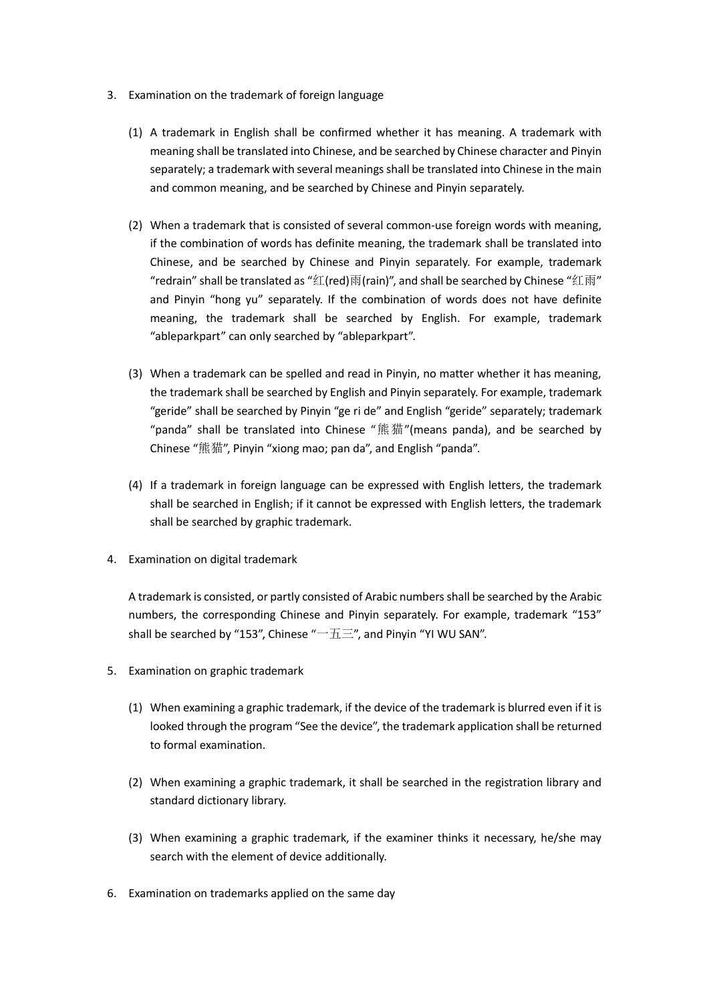- 3. Examination on the trademark of foreign language
	- (1) A trademark in English shall be confirmed whether it has meaning. A trademark with meaning shall be translated into Chinese, and be searched by Chinese character and Pinyin separately; a trademark with several meanings shall be translated into Chinese in the main and common meaning, and be searched by Chinese and Pinyin separately.
	- (2) When a trademark that is consisted of several common-use foreign words with meaning, if the combination of words has definite meaning, the trademark shall be translated into Chinese, and be searched by Chinese and Pinyin separately. For example, trademark "redrain" shall be translated as "红(red)雨(rain)", and shall be searched by Chinese "红雨" and Pinyin "hong yu" separately. If the combination of words does not have definite meaning, the trademark shall be searched by English. For example, trademark "ableparkpart" can only searched by "ableparkpart".
	- (3) When a trademark can be spelled and read in Pinyin, no matter whether it has meaning, the trademark shall be searched by English and Pinyin separately. For example, trademark "geride" shall be searched by Pinyin "ge ri de" and English "geride" separately; trademark "panda" shall be translated into Chinese "熊猫"(means panda), and be searched by Chinese "熊猫", Pinyin "xiong mao; pan da", and English "panda".
	- (4) If a trademark in foreign language can be expressed with English letters, the trademark shall be searched in English; if it cannot be expressed with English letters, the trademark shall be searched by graphic trademark.
- 4. Examination on digital trademark

A trademark is consisted, or partly consisted of Arabic numbers shall be searched by the Arabic numbers, the corresponding Chinese and Pinyin separately. For example, trademark "153" shall be searched by "153", Chinese " $-\overline{\text{h}}\Xi$ ", and Pinyin "YI WU SAN".

- 5. Examination on graphic trademark
	- (1) When examining a graphic trademark, if the device of the trademark is blurred even if it is looked through the program "See the device", the trademark application shall be returned to formal examination.
	- (2) When examining a graphic trademark, it shall be searched in the registration library and standard dictionary library.
	- (3) When examining a graphic trademark, if the examiner thinks it necessary, he/she may search with the element of device additionally.
- 6. Examination on trademarks applied on the same day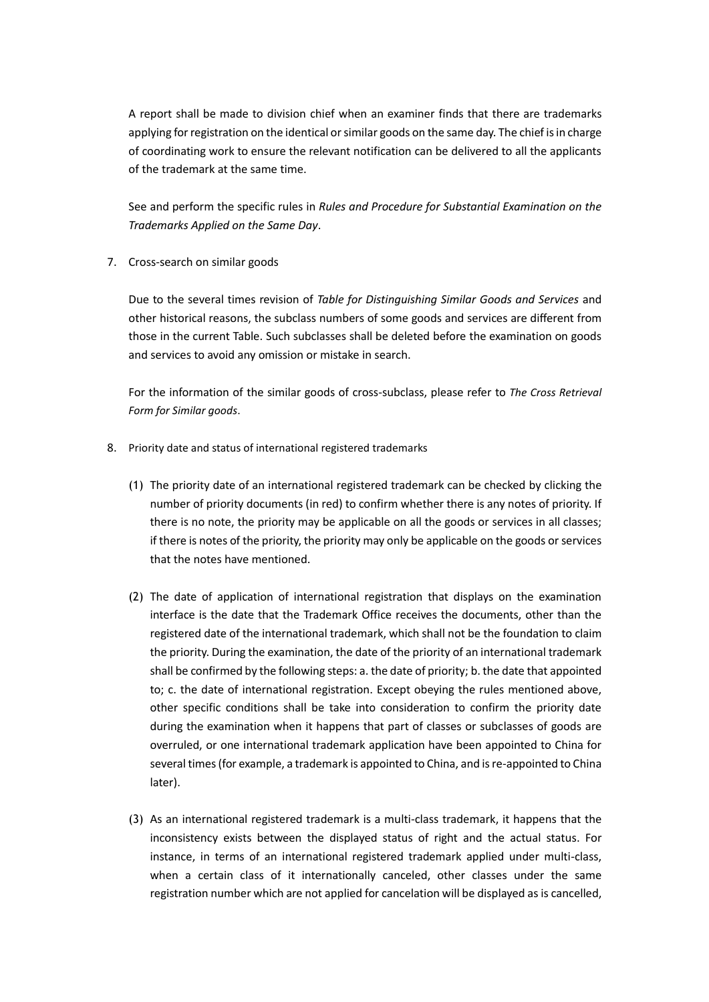A report shall be made to division chief when an examiner finds that there are trademarks applying for registration on the identical or similar goods on the same day. The chief is in charge of coordinating work to ensure the relevant notification can be delivered to all the applicants of the trademark at the same time.

See and perform the specific rules in *Rules and Procedure for Substantial Examination on the Trademarks Applied on the Same Day*.

7. Cross-search on similar goods

Due to the several times revision of *Table for Distinguishing Similar Goods and Services* and other historical reasons, the subclass numbers of some goods and services are different from those in the current Table. Such subclasses shall be deleted before the examination on goods and services to avoid any omission or mistake in search.

For the information of the similar goods of cross-subclass, please refer to *The Cross Retrieval Form for Similar goods*.

- 8. Priority date and status of international registered trademarks
	- (1) The priority date of an international registered trademark can be checked by clicking the number of priority documents (in red) to confirm whether there is any notes of priority. If there is no note, the priority may be applicable on all the goods or services in all classes; if there is notes of the priority, the priority may only be applicable on the goods or services that the notes have mentioned.
	- (2) The date of application of international registration that displays on the examination interface is the date that the Trademark Office receives the documents, other than the registered date of the international trademark, which shall not be the foundation to claim the priority. During the examination, the date of the priority of an international trademark shall be confirmed by the following steps: a. the date of priority; b. the date that appointed to; c. the date of international registration. Except obeying the rules mentioned above, other specific conditions shall be take into consideration to confirm the priority date during the examination when it happens that part of classes or subclasses of goods are overruled, or one international trademark application have been appointed to China for several times (for example, a trademark is appointed to China, and is re-appointed to China later).
	- (3) As an international registered trademark is a multi-class trademark, it happens that the inconsistency exists between the displayed status of right and the actual status. For instance, in terms of an international registered trademark applied under multi-class, when a certain class of it internationally canceled, other classes under the same registration number which are not applied for cancelation will be displayed as is cancelled,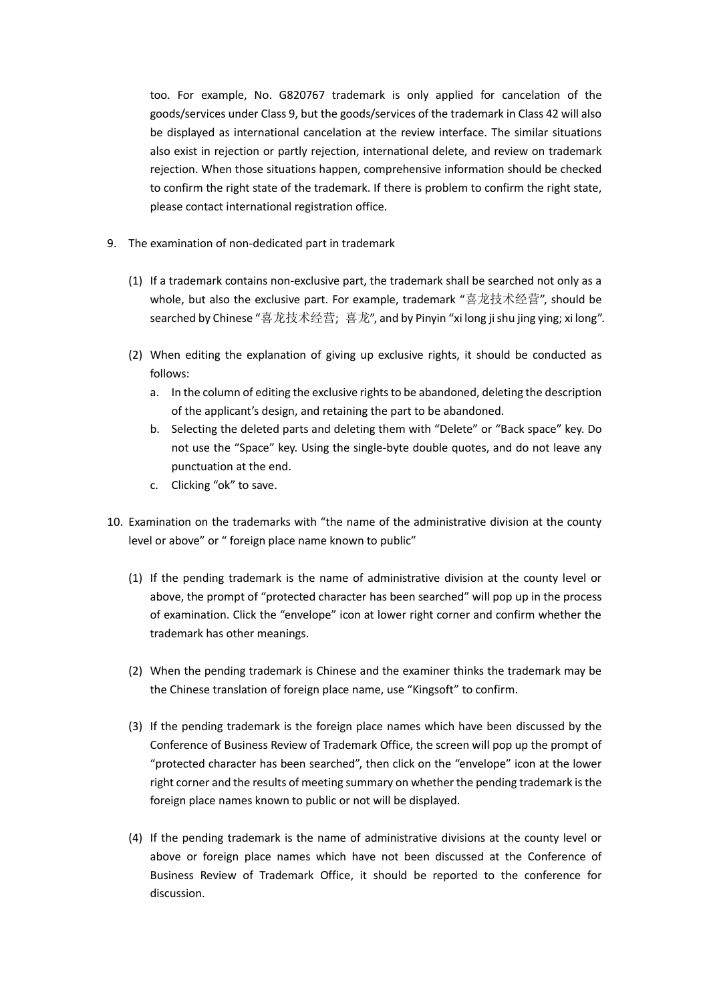too. For example, No. G820767 trademark is only applied for cancelation of the goods/services under Class 9, but the goods/services of the trademark in Class 42 will also be displayed as international cancelation at the review interface. The similar situations also exist in rejection or partly rejection, international delete, and review on trademark rejection. When those situations happen, comprehensive information should be checked to confirm the right state of the trademark. If there is problem to confirm the right state, please contact international registration office.

- 9. The examination of non-dedicated part in trademark
	- (1) If a trademark contains non-exclusive part, the trademark shall be searched not only as a whole, but also the exclusive part. For example, trademark "喜龙技术经营", should be searched by Chinese "喜龙技术经营; 喜龙", and by Pinyin "xi long ji shu jing ying; xi long".
	- (2) When editing the explanation of giving up exclusive rights, it should be conducted as follows:
		- a. In the column of editing the exclusive rights to be abandoned, deleting the description of the applicant's design, and retaining the part to be abandoned.
		- b. Selecting the deleted parts and deleting them with "Delete" or "Back space" key. Do not use the "Space" key. Using the single-byte double quotes, and do not leave any punctuation at the end.
		- c. Clicking "ok" to save.
- 10. Examination on the trademarks with "the name of the administrative division at the county level or above" or " foreign place name known to public"
	- (1) If the pending trademark is the name of administrative division at the county level or above, the prompt of "protected character has been searched" will pop up in the process of examination. Click the "envelope" icon at lower right corner and confirm whether the trademark has other meanings.
	- (2) When the pending trademark is Chinese and the examiner thinks the trademark may be the Chinese translation of foreign place name, use "Kingsoft" to confirm.
	- (3) If the pending trademark is the foreign place names which have been discussed by the Conference of Business Review of Trademark Office, the screen will pop up the prompt of "protected character has been searched", then click on the "envelope" icon at the lower right corner and the results of meeting summary on whether the pending trademark is the foreign place names known to public or not will be displayed.
	- (4) If the pending trademark is the name of administrative divisions at the county level or above or foreign place names which have not been discussed at the Conference of Business Review of Trademark Office, it should be reported to the conference for discussion.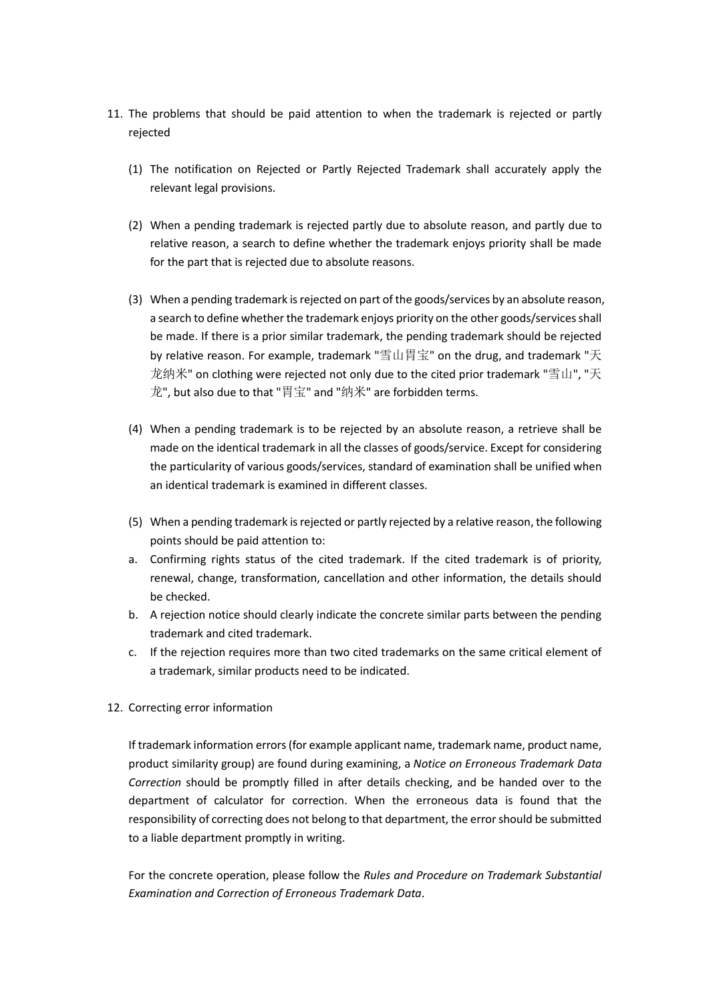- 11. The problems that should be paid attention to when the trademark is rejected or partly rejected
	- (1) The notification on Rejected or Partly Rejected Trademark shall accurately apply the relevant legal provisions.
	- (2) When a pending trademark is rejected partly due to absolute reason, and partly due to relative reason, a search to define whether the trademark enjoys priority shall be made for the part that is rejected due to absolute reasons.
	- (3) When a pending trademark is rejected on part of the goods/services by an absolute reason, a search to define whether the trademark enjoys priority on the other goods/services shall be made. If there is a prior similar trademark, the pending trademark should be rejected by relative reason. For example, trademark "雪山胃宝" on the drug, and trademark "天 龙纳米" on clothing were rejected not only due to the cited prior trademark "雪山", "天 龙", but also due to that "胃宝" and "纳米" are forbidden terms.
	- (4) When a pending trademark is to be rejected by an absolute reason, a retrieve shall be made on the identical trademark in all the classes of goods/service. Except for considering the particularity of various goods/services, standard of examination shall be unified when an identical trademark is examined in different classes.
	- (5) When a pending trademark is rejected or partly rejected by a relative reason, the following points should be paid attention to:
	- a. Confirming rights status of the cited trademark. If the cited trademark is of priority, renewal, change, transformation, cancellation and other information, the details should be checked.
	- b. A rejection notice should clearly indicate the concrete similar parts between the pending trademark and cited trademark.
	- c. If the rejection requires more than two cited trademarks on the same critical element of a trademark, similar products need to be indicated.
- 12. Correcting error information

If trademark information errors (for example applicant name, trademark name, product name, product similarity group) are found during examining, a *Notice on Erroneous Trademark Data Correction* should be promptly filled in after details checking, and be handed over to the department of calculator for correction. When the erroneous data is found that the responsibility of correcting does not belong to that department, the error should be submitted to a liable department promptly in writing.

For the concrete operation, please follow the *Rules and Procedure on Trademark Substantial Examination and Correction of Erroneous Trademark Data*.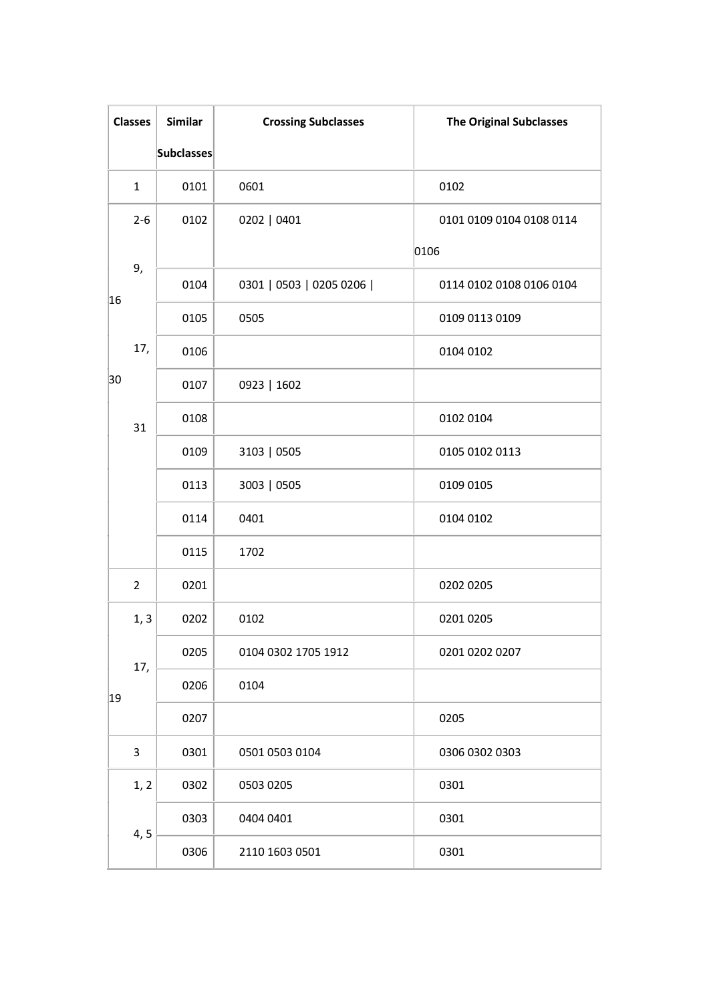|    | <b>Classes</b> | <b>Similar</b>    | <b>Crossing Subclasses</b> | <b>The Original Subclasses</b> |
|----|----------------|-------------------|----------------------------|--------------------------------|
|    |                | <b>Subclasses</b> |                            |                                |
|    | $\mathbf{1}$   | 0101              | 0601                       | 0102                           |
|    | $2 - 6$        | 0102              | 0202   0401                | 0101 0109 0104 0108 0114       |
|    |                |                   |                            | 0106                           |
| 16 | 9,             | 0104              | 0301   0503   0205 0206    | 0114 0102 0108 0106 0104       |
|    |                | 0105              | 0505                       | 0109 0113 0109                 |
|    | 17,            | 0106              |                            | 0104 0102                      |
| 30 |                | 0107              | 0923   1602                |                                |
|    | 31             | 0108              |                            | 0102 0104                      |
|    |                | 0109              | 3103   0505                | 0105 0102 0113                 |
|    |                | 0113              | 3003   0505                | 0109 0105                      |
|    |                | 0114              | 0401                       | 0104 0102                      |
|    |                | 0115              | 1702                       |                                |
|    | $\overline{2}$ | 0201              |                            | 0202 0205                      |
|    | 1, 3           | 0202              | 0102                       | 0201 0205                      |
|    | 17,            | 0205              | 0104 0302 1705 1912        | 0201 0202 0207                 |
| 19 |                | 0206              | 0104                       |                                |
|    |                | 0207              |                            | 0205                           |
|    | 3              | 0301              | 0501 0503 0104             | 0306 0302 0303                 |
|    | 1, 2           | 0302              | 0503 0205                  | 0301                           |
|    |                | 0303              | 0404 0401                  | 0301                           |
|    | 4, 5           | 0306              | 2110 1603 0501             | 0301                           |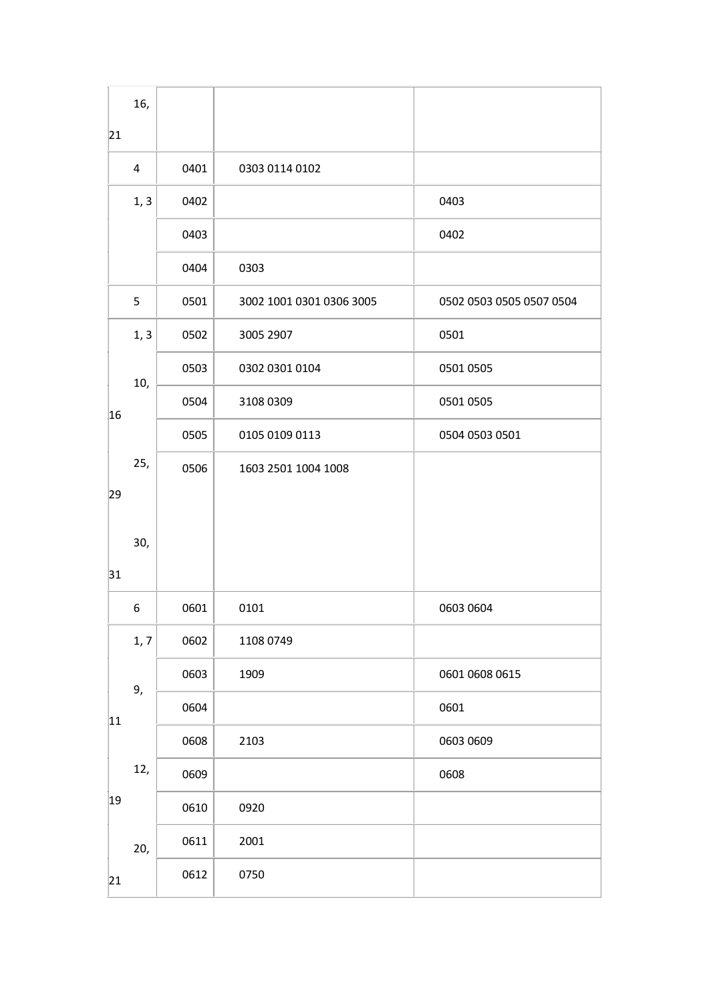|    | 16,  |      |                          |                          |
|----|------|------|--------------------------|--------------------------|
| 21 |      |      |                          |                          |
|    | 4    | 0401 | 0303 0114 0102           |                          |
|    | 1, 3 | 0402 |                          | 0403                     |
|    |      | 0403 |                          | 0402                     |
|    |      | 0404 | 0303                     |                          |
|    | 5    | 0501 | 3002 1001 0301 0306 3005 | 0502 0503 0505 0507 0504 |
|    | 1, 3 | 0502 | 3005 2907                | 0501                     |
|    | 10,  | 0503 | 0302 0301 0104           | 0501 0505                |
| 16 |      | 0504 | 3108 0309                | 0501 0505                |
|    |      | 0505 | 0105 0109 0113           | 0504 0503 0501           |
|    | 25,  | 0506 | 1603 2501 1004 1008      |                          |
| 29 |      |      |                          |                          |
|    | 30,  |      |                          |                          |
| 31 |      |      |                          |                          |
|    | 6    | 0601 | 0101                     | 0603 0604                |
|    | 1, 7 | 0602 | 1108 0749                |                          |
|    | 9,   | 0603 | 1909                     | 0601 0608 0615           |
| 11 |      | 0604 |                          | 0601                     |
|    |      | 0608 | 2103                     | 0603 0609                |
|    | 12,  | 0609 |                          | 0608                     |
| 19 |      | 0610 | 0920                     |                          |
|    | 20,  | 0611 | 2001                     |                          |
| 21 |      | 0612 | 0750                     |                          |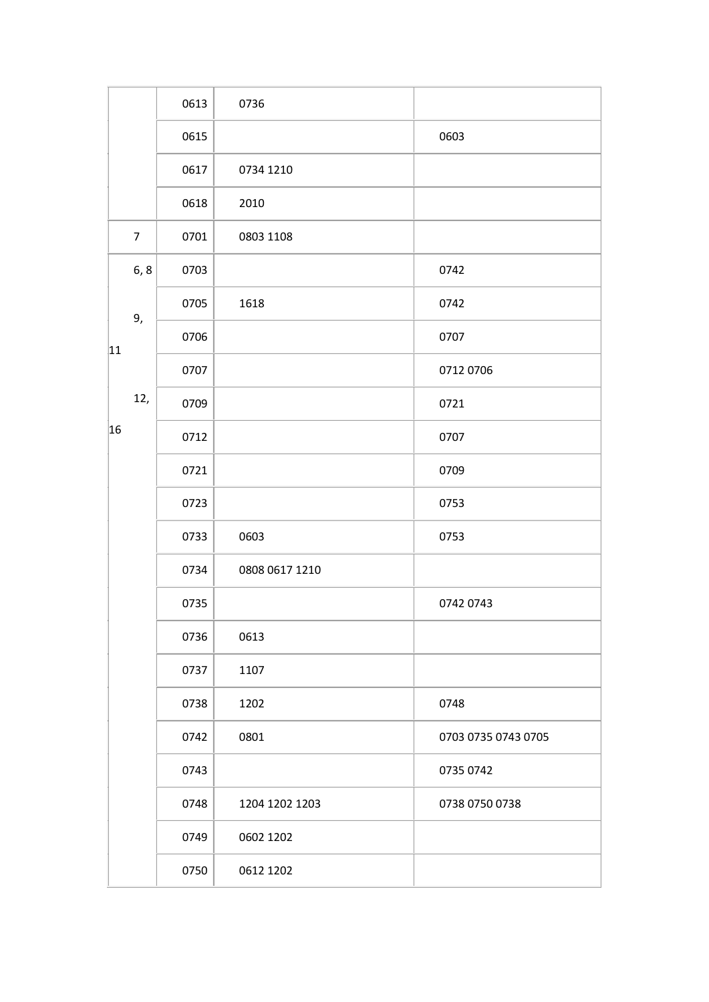|    |                | 0613 | 0736           |                     |
|----|----------------|------|----------------|---------------------|
|    |                | 0615 |                | 0603                |
|    |                | 0617 | 0734 1210      |                     |
|    |                | 0618 | 2010           |                     |
|    | $\overline{7}$ | 0701 | 0803 1108      |                     |
|    | 6, 8           | 0703 |                | 0742                |
|    | 9,             | 0705 | 1618           | 0742                |
| 11 |                | 0706 |                | 0707                |
|    |                | 0707 |                | 0712 0706           |
|    | 12,            | 0709 |                | 0721                |
| 16 |                | 0712 |                | 0707                |
|    |                | 0721 |                | 0709                |
|    |                | 0723 |                | 0753                |
|    |                | 0733 | 0603           | 0753                |
|    |                | 0734 | 0808 0617 1210 |                     |
|    |                | 0735 |                | 0742 0743           |
|    |                | 0736 | 0613           |                     |
|    |                | 0737 | 1107           |                     |
|    |                | 0738 | 1202           | 0748                |
|    |                | 0742 | 0801           | 0703 0735 0743 0705 |
|    |                | 0743 |                | 0735 0742           |
|    |                | 0748 | 1204 1202 1203 | 0738 0750 0738      |
|    |                | 0749 | 0602 1202      |                     |
|    |                | 0750 | 0612 1202      |                     |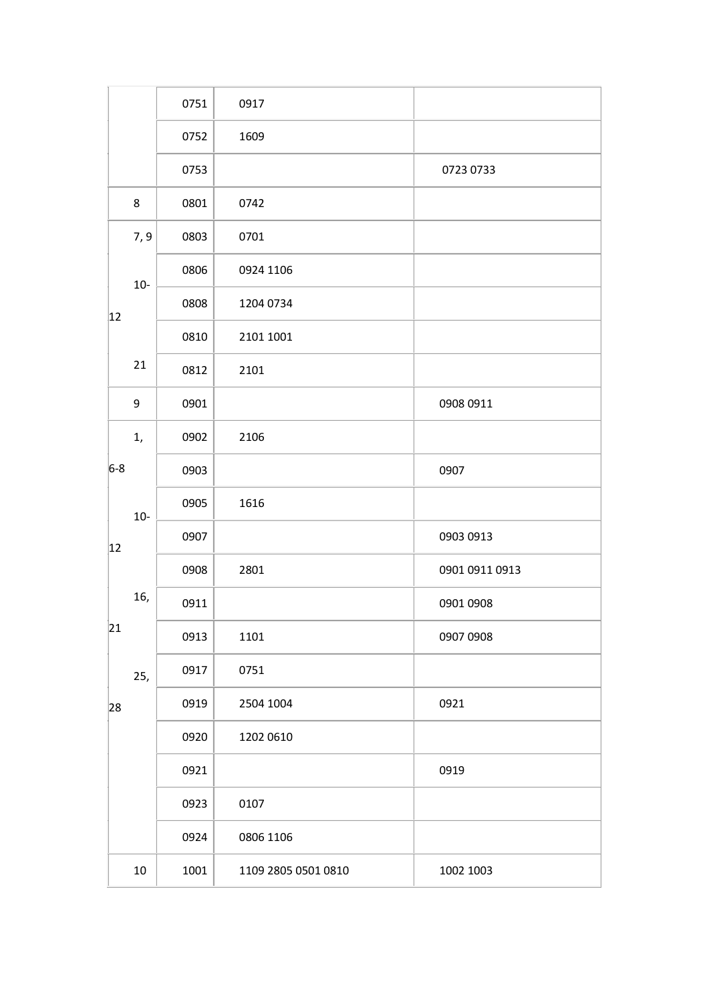|              |        | 0751 | 0917                |                |
|--------------|--------|------|---------------------|----------------|
|              |        | 0752 | 1609                |                |
|              |        | 0753 |                     | 0723 0733      |
|              | 8      | 0801 | 0742                |                |
|              | 7, 9   | 0803 | 0701                |                |
|              | $10-$  | 0806 | 0924 1106           |                |
| $ 12\rangle$ |        | 0808 | 1204 0734           |                |
|              |        | 0810 | 2101 1001           |                |
|              | 21     | 0812 | 2101                |                |
|              | 9      | 0901 |                     | 0908 0911      |
|              | 1,     | 0902 | 2106                |                |
| $6-8$        |        | 0903 |                     | 0907           |
|              | $10-$  | 0905 | 1616                |                |
| 12           |        | 0907 |                     | 0903 0913      |
|              |        | 0908 | 2801                | 0901 0911 0913 |
|              | 16,    | 0911 |                     | 0901 0908      |
| 21           |        | 0913 | 1101                | 0907 0908      |
|              | 25,    | 0917 | 0751                |                |
| 28           |        | 0919 | 2504 1004           | 0921           |
|              |        | 0920 | 1202 0610           |                |
|              |        | 0921 |                     | 0919           |
|              |        | 0923 | 0107                |                |
|              |        | 0924 | 0806 1106           |                |
|              | $10\,$ | 1001 | 1109 2805 0501 0810 | 1002 1003      |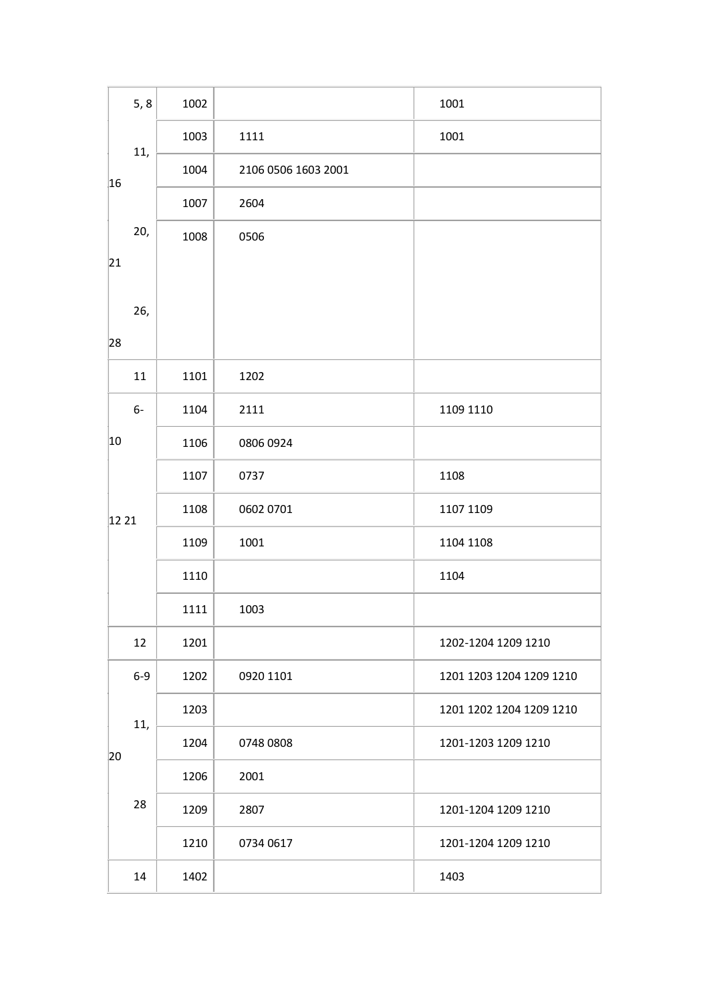| 5, 8  | 1002 |                     | 1001                     |
|-------|------|---------------------|--------------------------|
| 11,   | 1003 | 1111                | 1001                     |
| 16    | 1004 | 2106 0506 1603 2001 |                          |
|       | 1007 | 2604                |                          |
| 20,   | 1008 | 0506                |                          |
| 21    |      |                     |                          |
| 26,   |      |                     |                          |
| 28    |      |                     |                          |
| 11    | 1101 | 1202                |                          |
| $6-$  | 1104 | 2111                | 1109 1110                |
| 10    | 1106 | 0806 0924           |                          |
|       | 1107 | 0737                | 1108                     |
| 12 21 | 1108 | 0602 0701           | 1107 1109                |
|       | 1109 | 1001                | 1104 1108                |
|       | 1110 |                     | 1104                     |
|       | 1111 | 1003                |                          |
| 12    | 1201 |                     | 1202-1204 1209 1210      |
| $6-9$ | 1202 | 0920 1101           | 1201 1203 1204 1209 1210 |
| 11,   | 1203 |                     | 1201 1202 1204 1209 1210 |
| 20    | 1204 | 0748 0808           | 1201-1203 1209 1210      |
|       | 1206 | 2001                |                          |
| 28    | 1209 | 2807                | 1201-1204 1209 1210      |
|       | 1210 | 0734 0617           | 1201-1204 1209 1210      |
| 14    | 1402 |                     | 1403                     |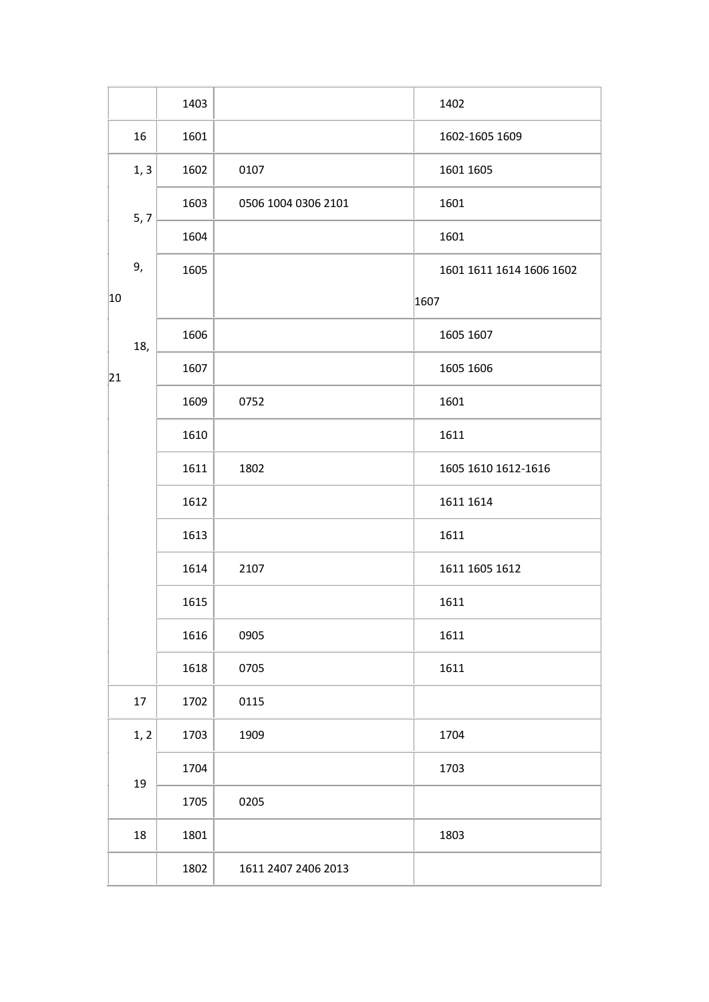|    |      | 1403 |                     | 1402                     |
|----|------|------|---------------------|--------------------------|
|    | 16   | 1601 |                     | 1602-1605 1609           |
|    | 1, 3 | 1602 | 0107                | 1601 1605                |
|    | 5, 7 | 1603 | 0506 1004 0306 2101 | 1601                     |
|    |      | 1604 |                     | 1601                     |
|    | 9,   | 1605 |                     | 1601 1611 1614 1606 1602 |
| 10 |      |      |                     | 1607                     |
|    | 18,  | 1606 |                     | 1605 1607                |
| 21 |      | 1607 |                     | 1605 1606                |
|    |      | 1609 | 0752                | 1601                     |
|    |      | 1610 |                     | 1611                     |
|    |      | 1611 | 1802                | 1605 1610 1612-1616      |
|    |      | 1612 |                     | 1611 1614                |
|    |      | 1613 |                     | 1611                     |
|    |      | 1614 | 2107                | 1611 1605 1612           |
|    |      | 1615 |                     | 1611                     |
|    |      | 1616 | 0905                | 1611                     |
|    |      | 1618 | 0705                | 1611                     |
|    | 17   | 1702 | 0115                |                          |
|    | 1, 2 | 1703 | 1909                | 1704                     |
|    | 19   | 1704 |                     | 1703                     |
|    |      | 1705 | 0205                |                          |
|    | 18   | 1801 |                     | 1803                     |
|    |      | 1802 | 1611 2407 2406 2013 |                          |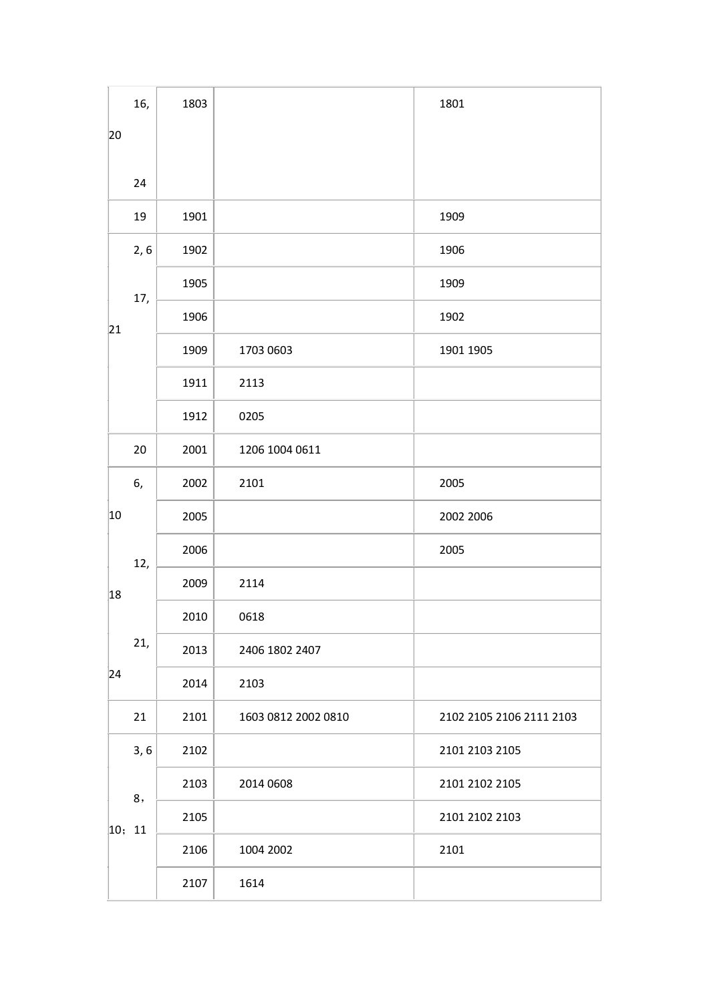|        | 16,  | 1803 |                     | 1801                     |
|--------|------|------|---------------------|--------------------------|
| 20     |      |      |                     |                          |
|        |      |      |                     |                          |
|        | 24   |      |                     |                          |
|        | 19   | 1901 |                     | 1909                     |
|        | 2, 6 | 1902 |                     | 1906                     |
|        | 17,  | 1905 |                     | 1909                     |
| 21     |      | 1906 |                     | 1902                     |
|        |      | 1909 | 1703 0603           | 1901 1905                |
|        |      | 1911 | 2113                |                          |
|        |      | 1912 | 0205                |                          |
|        | 20   | 2001 | 1206 1004 0611      |                          |
|        | 6,   | 2002 | 2101                | 2005                     |
| 10     |      | 2005 |                     | 2002 2006                |
|        | 12,  | 2006 |                     | 2005                     |
| 18     |      | 2009 | 2114                |                          |
|        |      | 2010 | 0618                |                          |
|        | 21,  | 2013 | 2406 1802 2407      |                          |
| 24     |      | 2014 | 2103                |                          |
|        | 21   | 2101 | 1603 0812 2002 0810 | 2102 2105 2106 2111 2103 |
|        | 3,6  | 2102 |                     | 2101 2103 2105           |
|        | 8,   | 2103 | 2014 0608           | 2101 2102 2105           |
| 10; 11 |      | 2105 |                     | 2101 2102 2103           |
|        |      | 2106 | 1004 2002           | 2101                     |
|        |      | 2107 | 1614                |                          |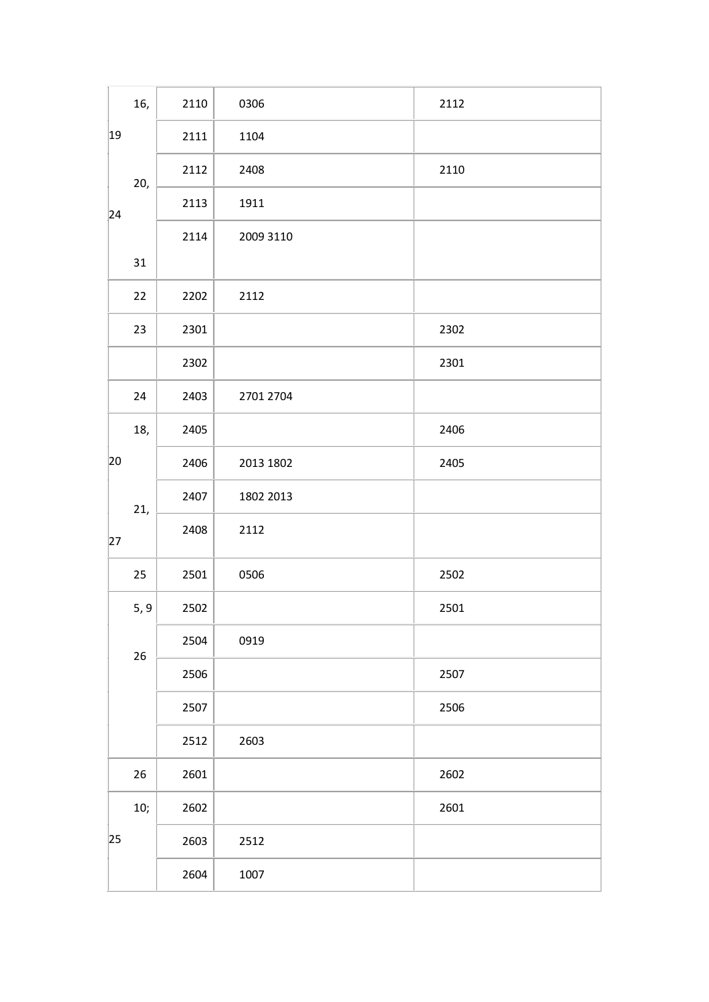|    | 16,  | 2110 | 0306      | 2112 |
|----|------|------|-----------|------|
| 19 |      | 2111 | 1104      |      |
|    | 20,  | 2112 | 2408      | 2110 |
| 24 |      | 2113 | 1911      |      |
|    |      | 2114 | 2009 3110 |      |
|    | 31   |      |           |      |
|    | 22   | 2202 | 2112      |      |
|    | 23   | 2301 |           | 2302 |
|    |      | 2302 |           | 2301 |
|    | 24   | 2403 | 2701 2704 |      |
|    | 18,  | 2405 |           | 2406 |
| 20 |      | 2406 | 2013 1802 | 2405 |
|    | 21,  | 2407 | 1802 2013 |      |
| 27 |      | 2408 | 2112      |      |
|    | 25   | 2501 | 0506      | 2502 |
|    | 5, 9 | 2502 |           | 2501 |
|    | 26   | 2504 | 0919      |      |
|    |      | 2506 |           | 2507 |
|    |      | 2507 |           | 2506 |
|    |      | 2512 | 2603      |      |
|    | 26   | 2601 |           | 2602 |
|    | 10;  | 2602 |           | 2601 |
| 25 |      | 2603 | 2512      |      |
|    |      | 2604 | 1007      |      |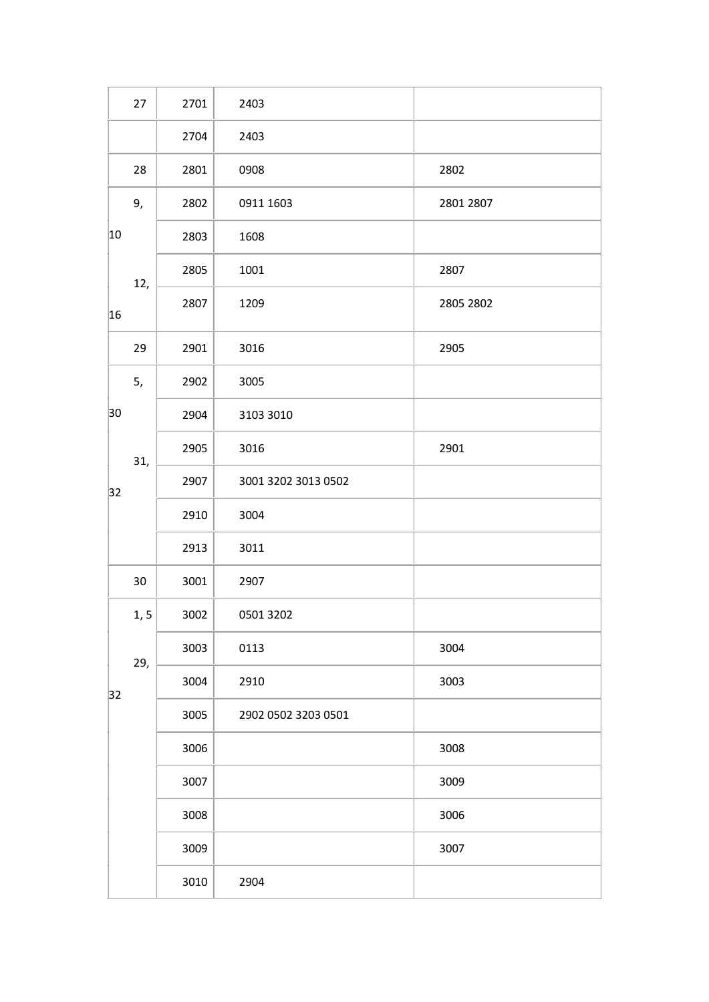|    | 27   | 2701 | 2403                |           |
|----|------|------|---------------------|-----------|
|    |      | 2704 | 2403                |           |
|    | 28   | 2801 | 0908                | 2802      |
|    | 9,   | 2802 | 0911 1603           | 2801 2807 |
| 10 |      | 2803 | 1608                |           |
|    | 12,  | 2805 | 1001                | 2807      |
| 16 |      | 2807 | 1209                | 2805 2802 |
|    | 29   | 2901 | 3016                | 2905      |
|    | 5,   | 2902 | 3005                |           |
| 30 |      | 2904 | 3103 3010           |           |
|    | 31,  | 2905 | 3016                | 2901      |
| 32 |      | 2907 | 3001 3202 3013 0502 |           |
|    |      | 2910 | 3004                |           |
|    |      | 2913 | 3011                |           |
|    | 30   | 3001 | 2907                |           |
|    | 1, 5 | 3002 | 0501 3202           |           |
|    | 29,  | 3003 | 0113                | 3004      |
| 32 |      | 3004 | 2910                | 3003      |
|    |      | 3005 | 2902 0502 3203 0501 |           |
|    |      | 3006 |                     | 3008      |
|    |      | 3007 |                     | 3009      |
|    |      | 3008 |                     | 3006      |
|    |      | 3009 |                     | 3007      |
|    |      | 3010 | 2904                |           |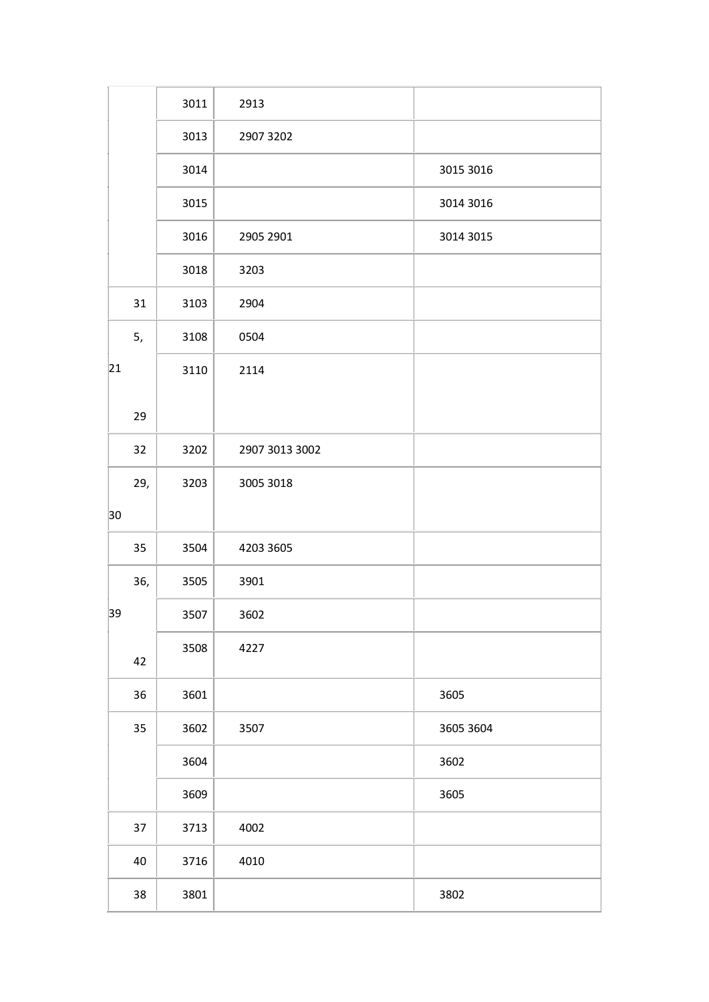|    |     | 3011 | 2913           |           |
|----|-----|------|----------------|-----------|
|    |     | 3013 | 2907 3202      |           |
|    |     | 3014 |                | 3015 3016 |
|    |     | 3015 |                | 3014 3016 |
|    |     | 3016 | 2905 2901      | 3014 3015 |
|    |     | 3018 | 3203           |           |
|    | 31  | 3103 | 2904           |           |
|    | 5,  | 3108 | 0504           |           |
| 21 |     | 3110 | 2114           |           |
|    | 29  |      |                |           |
|    | 32  | 3202 | 2907 3013 3002 |           |
|    | 29, | 3203 | 3005 3018      |           |
| 30 |     |      |                |           |
|    | 35  | 3504 | 4203 3605      |           |
|    | 36, | 3505 | 3901           |           |
| 39 |     | 3507 | 3602           |           |
|    | 42  | 3508 | 4227           |           |
|    | 36  | 3601 |                | 3605      |
|    | 35  | 3602 | 3507           | 3605 3604 |
|    |     | 3604 |                | 3602      |
|    |     | 3609 |                | 3605      |
|    | 37  | 3713 | 4002           |           |
|    | 40  | 3716 | 4010           |           |
|    | 38  | 3801 |                | 3802      |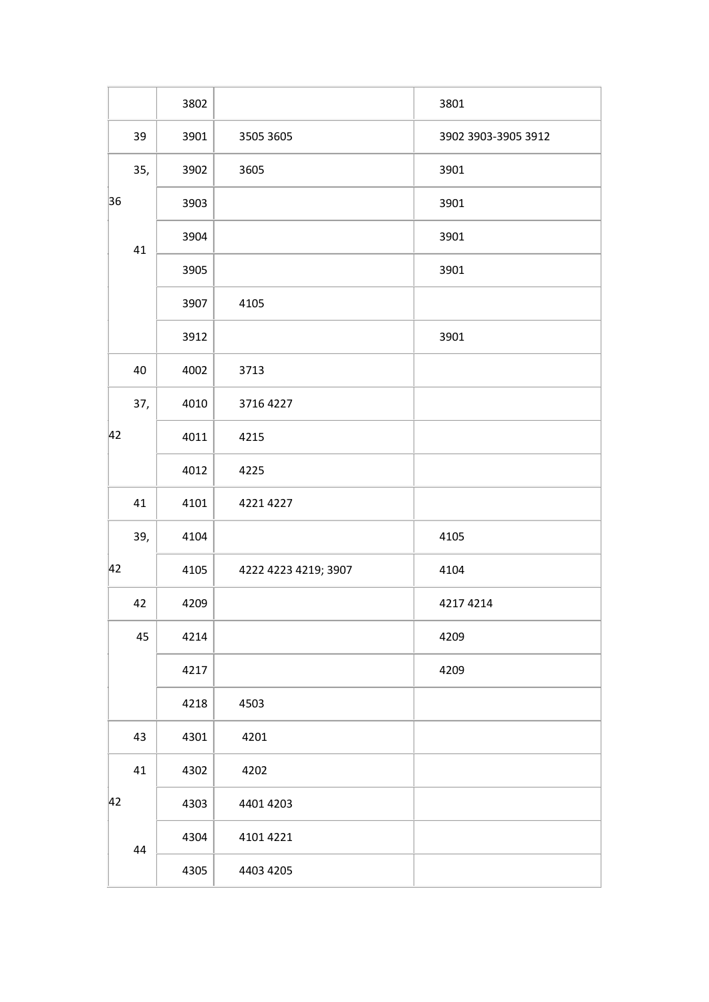|     | 3802 |                      | 3801                |
|-----|------|----------------------|---------------------|
| 39  | 3901 | 3505 3605            | 3902 3903-3905 3912 |
| 35, | 3902 | 3605                 | 3901                |
| 36  | 3903 |                      | 3901                |
| 41  | 3904 |                      | 3901                |
|     | 3905 |                      | 3901                |
|     | 3907 | 4105                 |                     |
|     | 3912 |                      | 3901                |
| 40  | 4002 | 3713                 |                     |
| 37, | 4010 | 3716 4227            |                     |
| 42  | 4011 | 4215                 |                     |
|     | 4012 | 4225                 |                     |
| 41  | 4101 | 4221 4227            |                     |
| 39, | 4104 |                      | 4105                |
| 42  | 4105 | 4222 4223 4219; 3907 | 4104                |
| 42  | 4209 |                      | 4217 4214           |
| 45  | 4214 |                      | 4209                |
|     | 4217 |                      | 4209                |
|     | 4218 | 4503                 |                     |
| 43  | 4301 | 4201                 |                     |
| 41  | 4302 | 4202                 |                     |
| 42  | 4303 | 4401 4203            |                     |
| 44  | 4304 | 4101 4221            |                     |
|     | 4305 | 4403 4205            |                     |